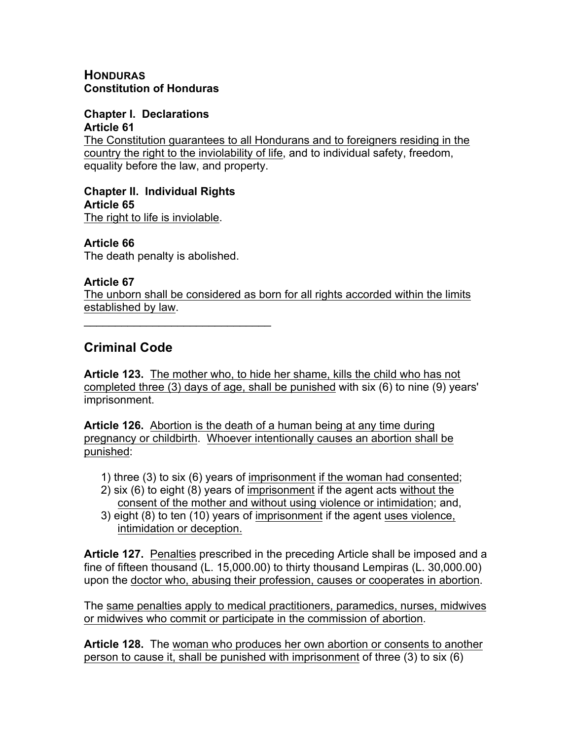### **HONDURAS Constitution of Honduras**

#### **Chapter I. Declarations Article 61**

The Constitution guarantees to all Hondurans and to foreigners residing in the country the right to the inviolability of life, and to individual safety, freedom, equality before the law, and property.

# **Chapter II. Individual Rights Article 65**

The right to life is inviolable.

# **Article 66**

The death penalty is abolished.

 $\mathcal{L}_\text{max}$  and  $\mathcal{L}_\text{max}$  and  $\mathcal{L}_\text{max}$ 

## **Article 67**

The unborn shall be considered as born for all rights accorded within the limits established by law.

# **Criminal Code**

**Article 123.** The mother who, to hide her shame, kills the child who has not completed three (3) days of age, shall be punished with six (6) to nine (9) years' imprisonment.

**Article 126.** Abortion is the death of a human being at any time during pregnancy or childbirth. Whoever intentionally causes an abortion shall be punished:

- 1) three (3) to six (6) years of imprisonment if the woman had consented;
- 2) six (6) to eight (8) years of imprisonment if the agent acts without the consent of the mother and without using violence or intimidation; and,
- 3) eight (8) to ten (10) years of imprisonment if the agent uses violence, intimidation or deception.

**Article 127.** Penalties prescribed in the preceding Article shall be imposed and a fine of fifteen thousand (L. 15,000.00) to thirty thousand Lempiras (L. 30,000.00) upon the doctor who, abusing their profession, causes or cooperates in abortion.

The same penalties apply to medical practitioners, paramedics, nurses, midwives or midwives who commit or participate in the commission of abortion.

**Article 128.** The woman who produces her own abortion or consents to another person to cause it, shall be punished with imprisonment of three (3) to six (6)